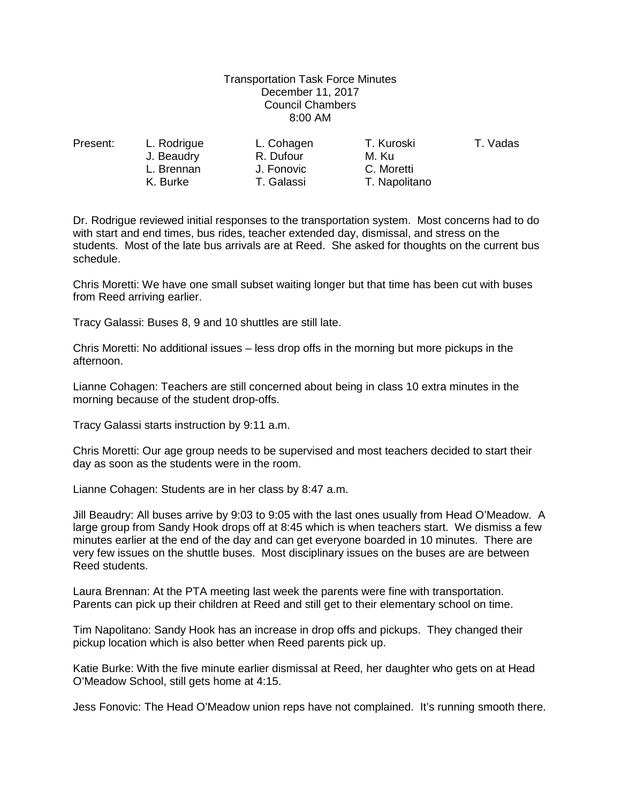## Transportation Task Force Minutes December 11, 2017 Council Chambers 8:00 AM

J. Beaudry **R. Dufour** M. Ku L. Brennan J. Fonovic C. Moretti

Present: L. Rodrigue L. Cohagen T. Kuroski T. Vadas T. Napolitano

Dr. Rodrigue reviewed initial responses to the transportation system. Most concerns had to do with start and end times, bus rides, teacher extended day, dismissal, and stress on the students. Most of the late bus arrivals are at Reed. She asked for thoughts on the current bus schedule.

Chris Moretti: We have one small subset waiting longer but that time has been cut with buses from Reed arriving earlier.

Tracy Galassi: Buses 8, 9 and 10 shuttles are still late.

Chris Moretti: No additional issues – less drop offs in the morning but more pickups in the afternoon.

Lianne Cohagen: Teachers are still concerned about being in class 10 extra minutes in the morning because of the student drop-offs.

Tracy Galassi starts instruction by 9:11 a.m.

Chris Moretti: Our age group needs to be supervised and most teachers decided to start their day as soon as the students were in the room.

Lianne Cohagen: Students are in her class by 8:47 a.m.

Jill Beaudry: All buses arrive by 9:03 to 9:05 with the last ones usually from Head O'Meadow. A large group from Sandy Hook drops off at 8:45 which is when teachers start. We dismiss a few minutes earlier at the end of the day and can get everyone boarded in 10 minutes. There are very few issues on the shuttle buses. Most disciplinary issues on the buses are are between Reed students.

Laura Brennan: At the PTA meeting last week the parents were fine with transportation. Parents can pick up their children at Reed and still get to their elementary school on time.

Tim Napolitano: Sandy Hook has an increase in drop offs and pickups. They changed their pickup location which is also better when Reed parents pick up.

Katie Burke: With the five minute earlier dismissal at Reed, her daughter who gets on at Head O'Meadow School, still gets home at 4:15.

Jess Fonovic: The Head O'Meadow union reps have not complained. It's running smooth there.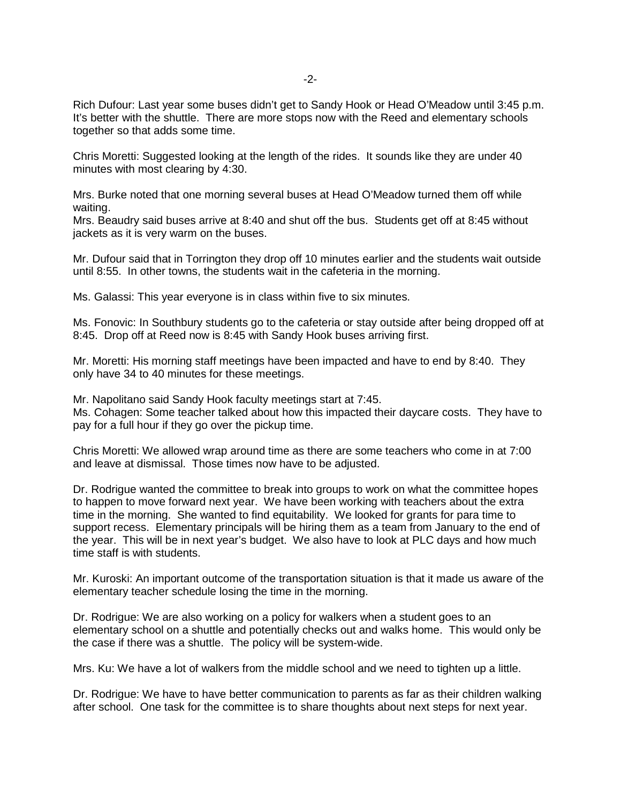Rich Dufour: Last year some buses didn't get to Sandy Hook or Head O'Meadow until 3:45 p.m. It's better with the shuttle. There are more stops now with the Reed and elementary schools together so that adds some time.

Chris Moretti: Suggested looking at the length of the rides. It sounds like they are under 40 minutes with most clearing by 4:30.

Mrs. Burke noted that one morning several buses at Head O'Meadow turned them off while waiting.

Mrs. Beaudry said buses arrive at 8:40 and shut off the bus. Students get off at 8:45 without jackets as it is very warm on the buses.

Mr. Dufour said that in Torrington they drop off 10 minutes earlier and the students wait outside until 8:55. In other towns, the students wait in the cafeteria in the morning.

Ms. Galassi: This year everyone is in class within five to six minutes.

Ms. Fonovic: In Southbury students go to the cafeteria or stay outside after being dropped off at 8:45. Drop off at Reed now is 8:45 with Sandy Hook buses arriving first.

Mr. Moretti: His morning staff meetings have been impacted and have to end by 8:40. They only have 34 to 40 minutes for these meetings.

Mr. Napolitano said Sandy Hook faculty meetings start at 7:45. Ms. Cohagen: Some teacher talked about how this impacted their daycare costs. They have to pay for a full hour if they go over the pickup time.

Chris Moretti: We allowed wrap around time as there are some teachers who come in at 7:00 and leave at dismissal. Those times now have to be adjusted.

Dr. Rodrigue wanted the committee to break into groups to work on what the committee hopes to happen to move forward next year. We have been working with teachers about the extra time in the morning. She wanted to find equitability. We looked for grants for para time to support recess. Elementary principals will be hiring them as a team from January to the end of the year. This will be in next year's budget. We also have to look at PLC days and how much time staff is with students.

Mr. Kuroski: An important outcome of the transportation situation is that it made us aware of the elementary teacher schedule losing the time in the morning.

Dr. Rodrigue: We are also working on a policy for walkers when a student goes to an elementary school on a shuttle and potentially checks out and walks home. This would only be the case if there was a shuttle. The policy will be system-wide.

Mrs. Ku: We have a lot of walkers from the middle school and we need to tighten up a little.

Dr. Rodrigue: We have to have better communication to parents as far as their children walking after school. One task for the committee is to share thoughts about next steps for next year.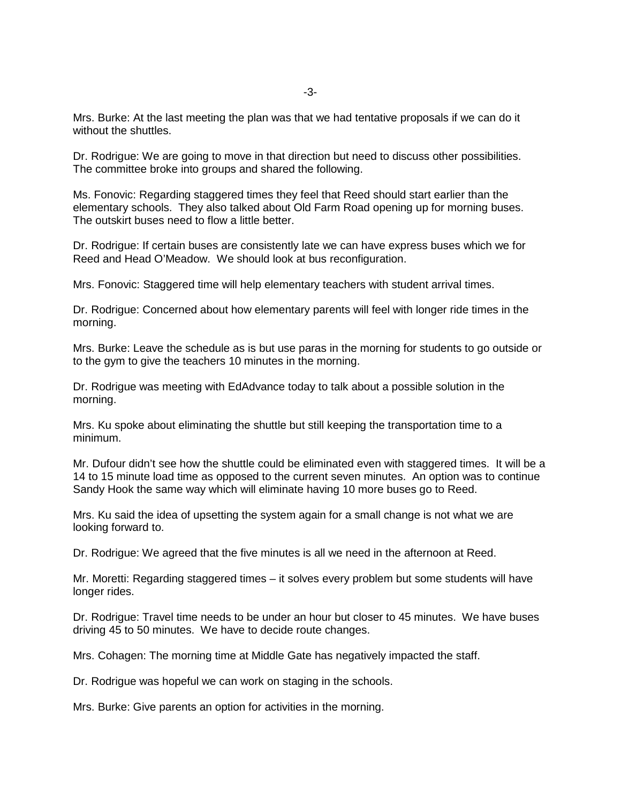Mrs. Burke: At the last meeting the plan was that we had tentative proposals if we can do it without the shuttles.

Dr. Rodrigue: We are going to move in that direction but need to discuss other possibilities. The committee broke into groups and shared the following.

Ms. Fonovic: Regarding staggered times they feel that Reed should start earlier than the elementary schools. They also talked about Old Farm Road opening up for morning buses. The outskirt buses need to flow a little better.

Dr. Rodrigue: If certain buses are consistently late we can have express buses which we for Reed and Head O'Meadow. We should look at bus reconfiguration.

Mrs. Fonovic: Staggered time will help elementary teachers with student arrival times.

Dr. Rodrigue: Concerned about how elementary parents will feel with longer ride times in the morning.

Mrs. Burke: Leave the schedule as is but use paras in the morning for students to go outside or to the gym to give the teachers 10 minutes in the morning.

Dr. Rodrigue was meeting with EdAdvance today to talk about a possible solution in the morning.

Mrs. Ku spoke about eliminating the shuttle but still keeping the transportation time to a minimum.

Mr. Dufour didn't see how the shuttle could be eliminated even with staggered times. It will be a 14 to 15 minute load time as opposed to the current seven minutes. An option was to continue Sandy Hook the same way which will eliminate having 10 more buses go to Reed.

Mrs. Ku said the idea of upsetting the system again for a small change is not what we are looking forward to.

Dr. Rodrigue: We agreed that the five minutes is all we need in the afternoon at Reed.

Mr. Moretti: Regarding staggered times – it solves every problem but some students will have longer rides.

Dr. Rodrigue: Travel time needs to be under an hour but closer to 45 minutes. We have buses driving 45 to 50 minutes. We have to decide route changes.

Mrs. Cohagen: The morning time at Middle Gate has negatively impacted the staff.

Dr. Rodrigue was hopeful we can work on staging in the schools.

Mrs. Burke: Give parents an option for activities in the morning.